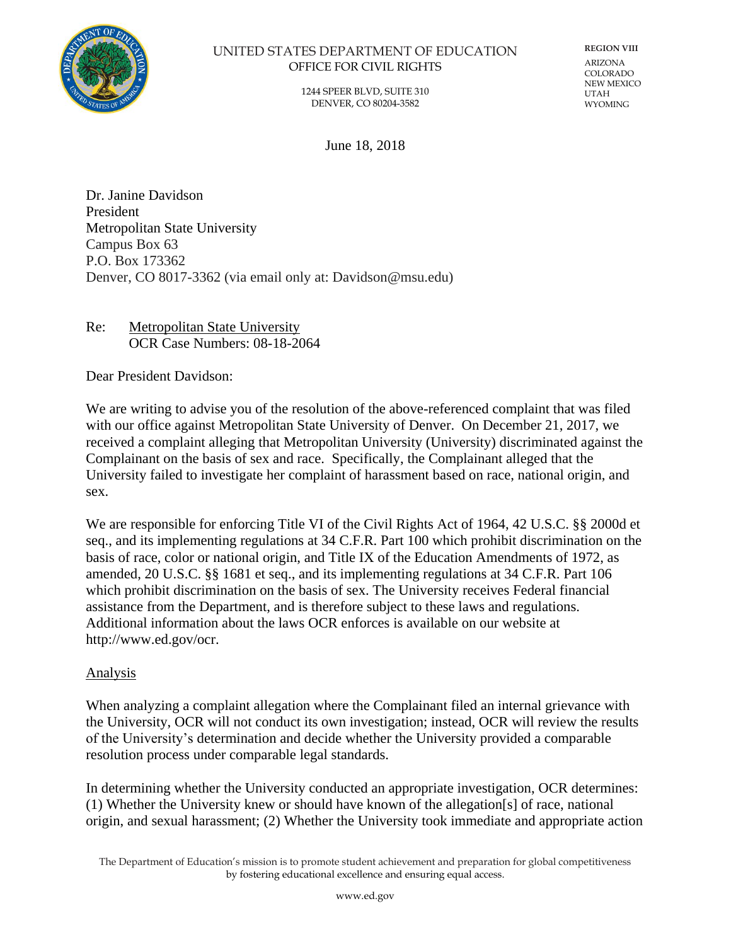

## UNITED STATES DEPARTMENT OF EDUCATION OFFICE FOR CIVIL RIGHTS

**REGION VIII** ARIZONA COLORADO NEW MEXICO UTAH **WYOMING** 

1244 SPEER BLVD, SUITE 310 DENVER, CO 80204-3582

June 18, 2018

Dr. Janine Davidson President Metropolitan State University Campus Box 63 P.O. Box 173362 Denver, CO 8017-3362 (via email only at: Davidson@msu.edu)

Re: Metropolitan State University OCR Case Numbers: 08-18-2064

Dear President Davidson:

We are writing to advise you of the resolution of the above-referenced complaint that was filed with our office against Metropolitan State University of Denver. On December 21, 2017, we received a complaint alleging that Metropolitan University (University) discriminated against the Complainant on the basis of sex and race. Specifically, the Complainant alleged that the University failed to investigate her complaint of harassment based on race, national origin, and sex.

We are responsible for enforcing Title VI of the Civil Rights Act of 1964, 42 U.S.C. §§ 2000d et seq., and its implementing regulations at 34 C.F.R. Part 100 which prohibit discrimination on the basis of race, color or national origin, and Title IX of the Education Amendments of 1972, as amended, 20 U.S.C. §§ 1681 et seq., and its implementing regulations at 34 C.F.R. Part 106 which prohibit discrimination on the basis of sex. The University receives Federal financial assistance from the Department, and is therefore subject to these laws and regulations. Additional information about the laws OCR enforces is available on our website at http://www.ed.gov/ocr.

## Analysis

When analyzing a complaint allegation where the Complainant filed an internal grievance with the University, OCR will not conduct its own investigation; instead, OCR will review the results of the University's determination and decide whether the University provided a comparable resolution process under comparable legal standards.

In determining whether the University conducted an appropriate investigation, OCR determines: (1) Whether the University knew or should have known of the allegation[s] of race, national origin, and sexual harassment; (2) Whether the University took immediate and appropriate action

The Department of Education's mission is to promote student achievement and preparation for global competitiveness by fostering educational excellence and ensuring equal access.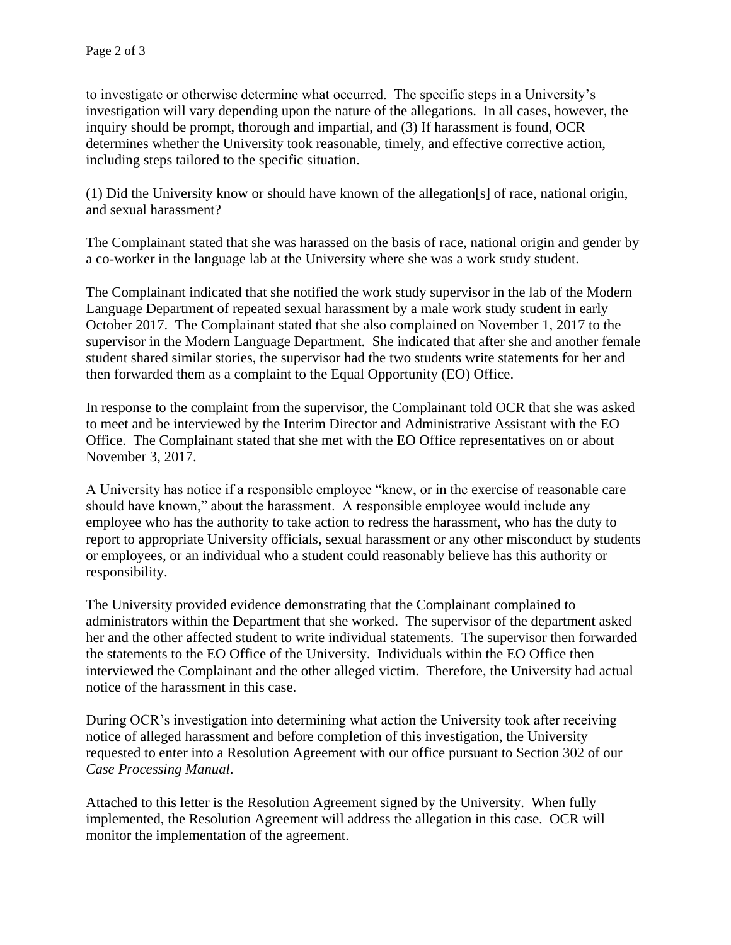to investigate or otherwise determine what occurred. The specific steps in a University's investigation will vary depending upon the nature of the allegations. In all cases, however, the inquiry should be prompt, thorough and impartial, and (3) If harassment is found, OCR determines whether the University took reasonable, timely, and effective corrective action, including steps tailored to the specific situation.

(1) Did the University know or should have known of the allegation[s] of race, national origin, and sexual harassment?

The Complainant stated that she was harassed on the basis of race, national origin and gender by a co-worker in the language lab at the University where she was a work study student.

The Complainant indicated that she notified the work study supervisor in the lab of the Modern Language Department of repeated sexual harassment by a male work study student in early October 2017. The Complainant stated that she also complained on November 1, 2017 to the supervisor in the Modern Language Department. She indicated that after she and another female student shared similar stories, the supervisor had the two students write statements for her and then forwarded them as a complaint to the Equal Opportunity (EO) Office.

In response to the complaint from the supervisor, the Complainant told OCR that she was asked to meet and be interviewed by the Interim Director and Administrative Assistant with the EO Office. The Complainant stated that she met with the EO Office representatives on or about November 3, 2017.

A University has notice if a responsible employee "knew, or in the exercise of reasonable care should have known," about the harassment. A responsible employee would include any employee who has the authority to take action to redress the harassment, who has the duty to report to appropriate University officials, sexual harassment or any other misconduct by students or employees, or an individual who a student could reasonably believe has this authority or responsibility.

The University provided evidence demonstrating that the Complainant complained to administrators within the Department that she worked. The supervisor of the department asked her and the other affected student to write individual statements. The supervisor then forwarded the statements to the EO Office of the University. Individuals within the EO Office then interviewed the Complainant and the other alleged victim. Therefore, the University had actual notice of the harassment in this case.

During OCR's investigation into determining what action the University took after receiving notice of alleged harassment and before completion of this investigation, the University requested to enter into a Resolution Agreement with our office pursuant to Section 302 of our *Case Processing Manual*.

Attached to this letter is the Resolution Agreement signed by the University. When fully implemented, the Resolution Agreement will address the allegation in this case. OCR will monitor the implementation of the agreement.